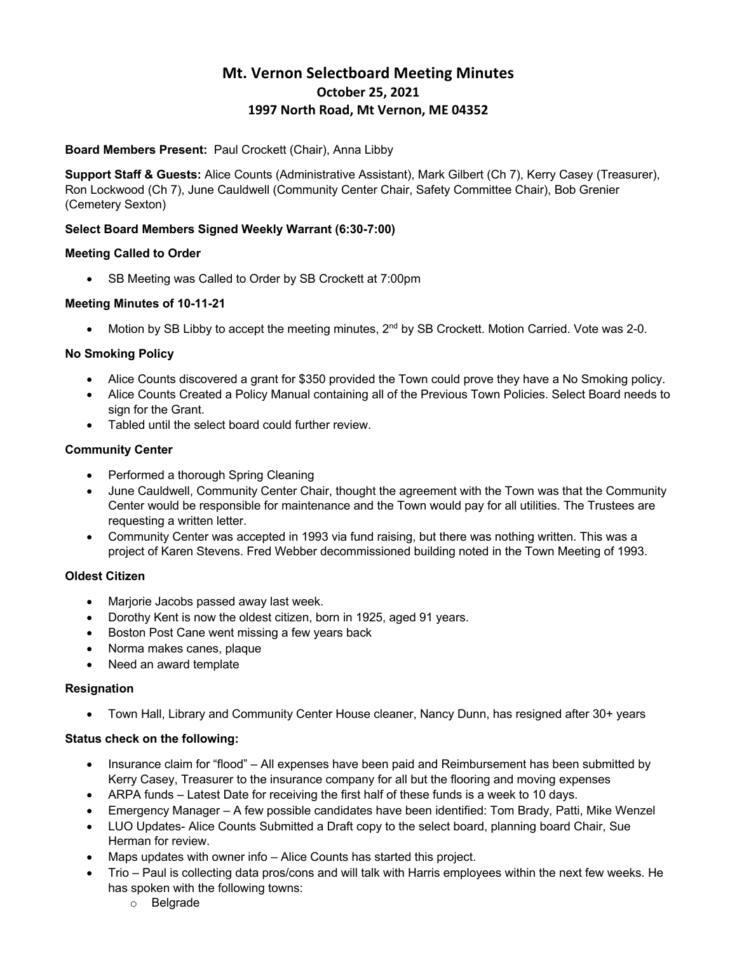# **Mt. Vernon Selectboard Meeting Minutes October 25, 2021 1997 North Road, Mt Vernon, ME 04352**

## **Board Members Present:** Paul Crockett (Chair), Anna Libby

**Support Staff & Guests:** Alice Counts (Administrative Assistant), Mark Gilbert (Ch 7), Kerry Casey (Treasurer), Ron Lockwood (Ch 7), June Cauldwell (Community Center Chair, Safety Committee Chair), Bob Grenier (Cemetery Sexton)

## **Select Board Members Signed Weekly Warrant (6:30-7:00)**

#### **Meeting Called to Order**

• SB Meeting was Called to Order by SB Crockett at 7:00pm

## **Meeting Minutes of 10-11-21**

• Motion by SB Libby to accept the meeting minutes,  $2<sup>nd</sup>$  by SB Crockett. Motion Carried. Vote was 2-0.

## **No Smoking Policy**

- Alice Counts discovered a grant for \$350 provided the Town could prove they have a No Smoking policy.
- Alice Counts Created a Policy Manual containing all of the Previous Town Policies. Select Board needs to sign for the Grant.
- Tabled until the select board could further review.

## **Community Center**

- Performed a thorough Spring Cleaning
- June Cauldwell, Community Center Chair, thought the agreement with the Town was that the Community Center would be responsible for maintenance and the Town would pay for all utilities. The Trustees are requesting a written letter.
- Community Center was accepted in 1993 via fund raising, but there was nothing written. This was a project of Karen Stevens. Fred Webber decommissioned building noted in the Town Meeting of 1993.

## **Oldest Citizen**

- Marjorie Jacobs passed away last week.
- Dorothy Kent is now the oldest citizen, born in 1925, aged 91 years.
- Boston Post Cane went missing a few years back
- Norma makes canes, plaque
- Need an award template

## **Resignation**

• Town Hall, Library and Community Center House cleaner, Nancy Dunn, has resigned after 30+ years

## **Status check on the following:**

- Insurance claim for "flood" All expenses have been paid and Reimbursement has been submitted by Kerry Casey, Treasurer to the insurance company for all but the flooring and moving expenses
- ARPA funds Latest Date for receiving the first half of these funds is a week to 10 days.
- Emergency Manager A few possible candidates have been identified: Tom Brady, Patti, Mike Wenzel
- LUO Updates- Alice Counts Submitted a Draft copy to the select board, planning board Chair, Sue Herman for review.
- Maps updates with owner info Alice Counts has started this project.
- Trio Paul is collecting data pros/cons and will talk with Harris employees within the next few weeks. He has spoken with the following towns:
	- o Belgrade